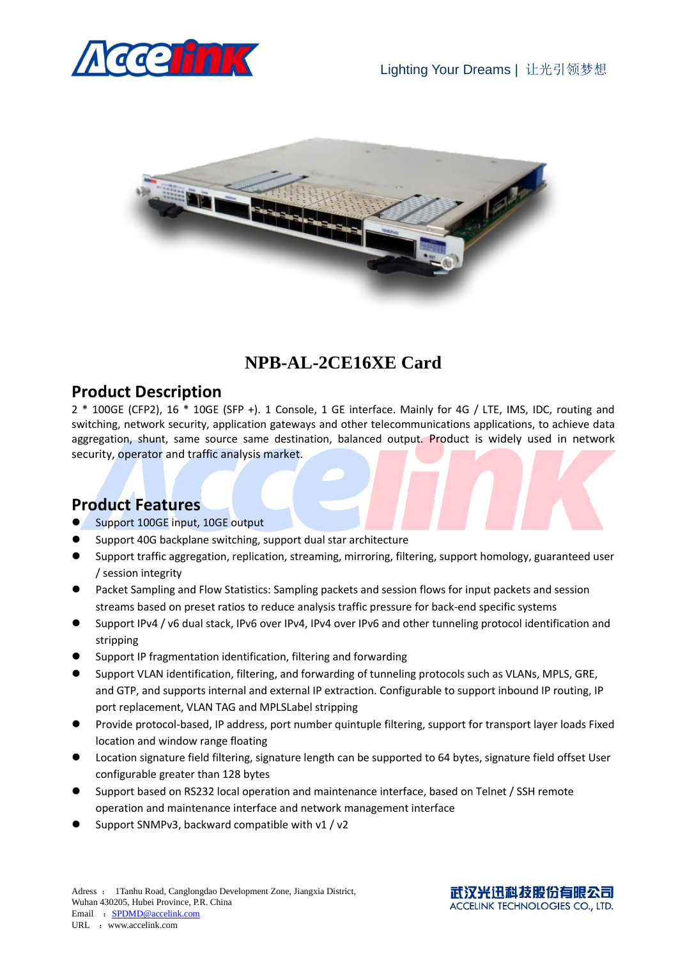



## **NPB-AL-2CE16XE Card**

#### **Product Description**

2 \* 100GE (CFP2), 16 \* 10GE (SFP +). 1 Console, 1 GE interface. Mainly for 4G / LTE, IMS, IDC, routing and switching, network security, application gateways and other telecommunications applications, to achieve data aggregation, shunt, same source same destination, balanced output. Product is widely used in network security, operator and traffic analysis market.

### **Product Features**

- Support 100GE input, 10GE output
- Support 40G backplane switching, support dual star architecture
- Support traffic aggregation, replication, streaming, mirroring, filtering, support homology, guaranteed user / session integrity
- Packet Sampling and Flow Statistics: Sampling packets and session flows for input packets and session streams based on preset ratios to reduce analysis traffic pressure for back-end specific systems
- Support IPv4 / v6 dual stack, IPv6 over IPv4, IPv4 over IPv6 and other tunneling protocol identification and stripping
- Support IP fragmentation identification, filtering and forwarding
- Support VLAN identification, filtering, and forwarding of tunneling protocols such as VLANs, MPLS, GRE, and GTP, and supports internal and external IP extraction. Configurable to support inbound IP routing, IP port replacement, VLAN TAG and MPLSLabel stripping
- Provide protocol-based, IP address, port number quintuple filtering, support for transport layer loads Fixed location and window range floating
- Location signature field filtering, signature length can be supported to 64 bytes, signature field offset User configurable greater than 128 bytes
- Support based on RS232 local operation and maintenance interface, based on Telnet / SSH remote operation and maintenance interface and network management interface
- Support SNMPv3, backward compatible with v1 / v2